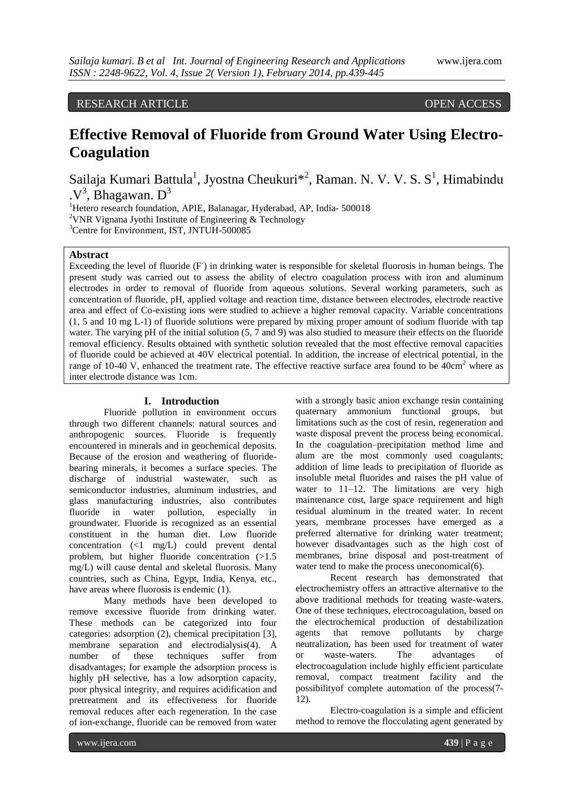### RESEARCH ARTICLE OPEN ACCESS

# **Effective Removal of Fluoride from Ground Water Using Electro-Coagulation**

Sailaja Kumari Battula<sup>1</sup>, Jyostna Cheukuri<sup>\*2</sup>, Raman. N. V. V. S. S<sup>1</sup>, Himabindu  $\cdot$  V<sup>3</sup>, Bhagawan. D<sup>3</sup>

<sup>1</sup>Hetero research foundation, APIE, Balanagar, Hyderabad, AP, India- 500018 <sup>2</sup>VNR Vignana Jyothi Institute of Engineering & Technology <sup>3</sup>Centre for Environment, IST, JNTUH-500085

**Abstract**

Exceeding the level of fluoride (F) in drinking water is responsible for skeletal fluorosis in human beings. The present study was carried out to assess the ability of electro coagulation process with iron and aluminum electrodes in order to removal of fluoride from aqueous solutions. Several working parameters, such as concentration of fluoride, pH, applied voltage and reaction time, distance between electrodes, electrode reactive area and effect of Co-existing ions were studied to achieve a higher removal capacity. Variable concentrations (1, 5 and 10 mg L-1) of fluoride solutions were prepared by mixing proper amount of sodium fluoride with tap water. The varying pH of the initial solution (5, 7 and 9) was also studied to measure their effects on the fluoride removal efficiency. Results obtained with synthetic solution revealed that the most effective removal capacities of fluoride could be achieved at 40V electrical potential. In addition, the increase of electrical potential, in the range of 10-40 V, enhanced the treatment rate. The effective reactive surface area found to be 40cm<sup>2</sup> where as inter electrode distance was 1cm.

#### **I. Introduction**

Fluoride pollution in environment occurs through two different channels: natural sources and anthropogenic sources. Fluoride is frequently encountered in minerals and in geochemical deposits. Because of the erosion and weathering of fluoridebearing minerals, it becomes a surface species. The discharge of industrial wastewater, such as semiconductor industries, aluminum industries, and glass manufacturing industries, also contributes fluoride in water pollution, especially in groundwater. Fluoride is recognized as an essential constituent in the human diet. Low fluoride concentration (<1 mg/L) could prevent dental problem, but higher fluoride concentration (>1.5 mg/L) will cause dental and skeletal fluorosis. Many countries, such as China, Egypt, India, Kenya, etc., have areas where fluorosis is endemic (1).

Many methods have been developed to remove excessive fluoride from drinking water. These methods can be categorized into four categories: adsorption (2), chemical precipitation [3], membrane separation and electrodialysis(4). A number of these techniques suffer from disadvantages; for example the adsorption process is highly pH selective, has a low adsorption capacity, poor physical integrity, and requires acidification and pretreatment and its effectiveness for fluoride removal reduces after each regeneration. In the case of ion-exchange, fluoride can be removed from water

with a strongly basic anion exchange resin containing quaternary ammonium functional groups, but limitations such as the cost of resin, regeneration and waste disposal prevent the process being economical. In the coagulation–precipitation method lime and alum are the most commonly used coagulants; addition of lime leads to precipitation of fluoride as insoluble metal fluorides and raises the pH value of water to 11–12. The limitations are very high maintenance cost, large space requirement and high residual aluminum in the treated water. In recent years, membrane processes have emerged as a preferred alternative for drinking water treatment; however disadvantages such as the high cost of membranes, brine disposal and post-treatment of water tend to make the process uneconomical(6).

Recent research has demonstrated that electrochemistry offers an attractive alternative to the above traditional methods for treating waste-waters. One of these techniques, electrocoagulation, based on the electrochemical production of destabilization agents that remove pollutants by charge neutralization, has been used for treatment of water or waste-waters. The advantages of electrocoagulation include highly efficient particulate removal, compact treatment facility and the possibilityof complete automation of the process(7- 12).

Electro-coagulation is a simple and efficient method to remove the flocculating agent generated by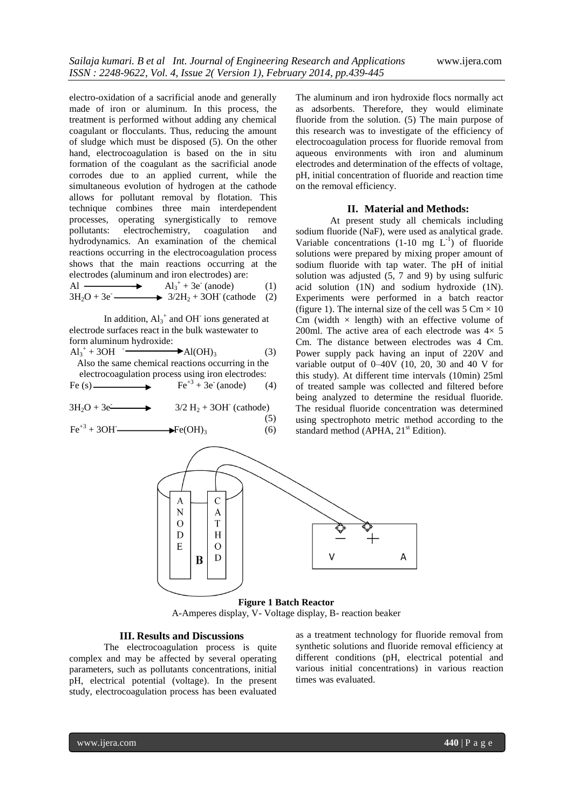electro-oxidation of a sacrificial anode and generally made of iron or aluminum. In this process, the treatment is performed without adding any chemical coagulant or flocculants. Thus, reducing the amount of sludge which must be disposed (5). On the other hand, electrocoagulation is based on the in situ formation of the coagulant as the sacrificial anode corrodes due to an applied current, while the simultaneous evolution of hydrogen at the cathode allows for pollutant removal by flotation. This technique combines three main interdependent processes, operating synergistically to remove pollutants: electrochemistry, coagulation and hydrodynamics. An examination of the chemical reactions occurring in the electrocoagulation process shows that the main reactions occurring at the electrodes (aluminum and iron electrodes) are:

 $\overrightarrow{A}$  $+3e^{\pi}$  (anode) (1)  $3H_2O + 3e$   $\longrightarrow$   $3/2H_2 + 3OH$  (cathode (2)

In addition,  $Al_3^+$  and OH<sup>-</sup> ions generated at electrode surfaces react in the bulk wastewater to form aluminum hydroxide:

 $Al_3^+ + 3OH$ <sup>-</sup>  $\blacktriangleright$ Al(OH)<sub>3</sub> (3) Also the same chemical reactions occurring in the electrocoagulation process using iron electrodes:

Fe (s)  $\longrightarrow$  Fe<sup>+3</sup> + 3e (anode) (4)

 $3H_2O + 3e$  $3/2$  H<sub>2</sub> + 3OH<sup>-</sup> (cathode)

 (5)  $Fe^{+3} + 3OH$   $\longrightarrow$   $Fe(OH)_3$  (6) The aluminum and iron hydroxide flocs normally act as adsorbents. Therefore, they would eliminate fluoride from the solution. (5) The main purpose of this research was to investigate of the efficiency of electrocoagulation process for fluoride removal from aqueous environments with iron and aluminum electrodes and determination of the effects of voltage, pH, initial concentration of fluoride and reaction time on the removal efficiency.

#### **II. Material and Methods:**

At present study all chemicals including sodium fluoride (NaF), were used as analytical grade. Variable concentrations  $(1-10 \text{ mg } L^{-1})$  of fluoride solutions were prepared by mixing proper amount of sodium fluoride with tap water. The pH of initial solution was adjusted (5, 7 and 9) by using sulfuric acid solution (1N) and sodium hydroxide (1N). Experiments were performed in a batch reactor (figure 1). The internal size of the cell was  $5 \text{ Cm} \times 10$ Cm (width  $\times$  length) with an effective volume of 200ml. The active area of each electrode was  $4 \times 5$ Cm. The distance between electrodes was 4 Cm. Power supply pack having an input of 220V and variable output of  $0-40V$  (10, 20, 30 and 40 V for this study). At different time intervals (10min) 25ml of treated sample was collected and filtered before being analyzed to determine the residual fluoride. The residual fluoride concentration was determined using spectrophoto metric method according to the standard method (APHA,  $21<sup>st</sup>$  Edition).



**Figure 1 Batch Reactor** A-Amperes display, V- Voltage display, B- reaction beaker

#### **III. Results and Discussions**

The electrocoagulation process is quite complex and may be affected by several operating parameters, such as pollutants concentrations, initial pH, electrical potential (voltage). In the present study, electrocoagulation process has been evaluated

as a treatment technology for fluoride removal from synthetic solutions and fluoride removal efficiency at different conditions (pH, electrical potential and various initial concentrations) in various reaction times was evaluated.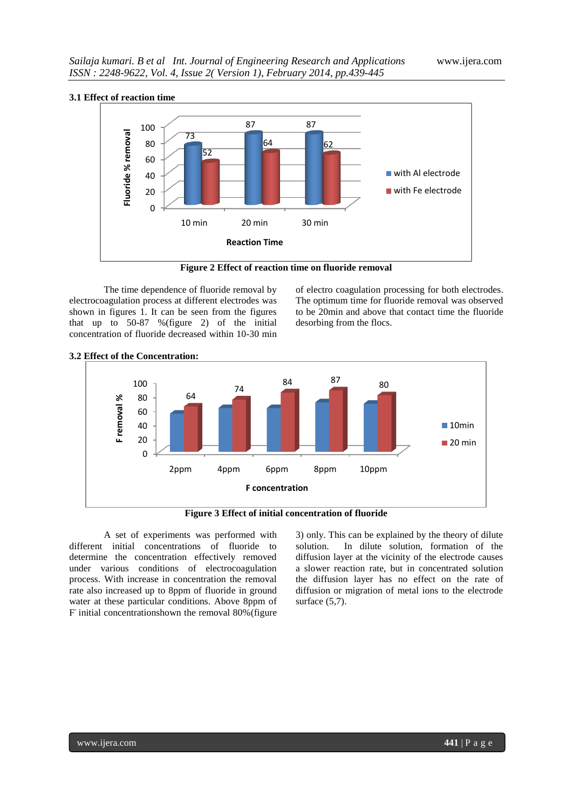

**Figure 2 Effect of reaction time on fluoride removal**

The time dependence of fluoride removal by electrocoagulation process at different electrodes was shown in figures 1. It can be seen from the figures that up to 50-87 %(figure 2) of the initial concentration of fluoride decreased within 10-30 min

of electro coagulation processing for both electrodes. The optimum time for fluoride removal was observed to be 20min and above that contact time the fluoride desorbing from the flocs.



## **3.2 Effect of the Concentration:**

**Figure 3 Effect of initial concentration of fluoride** 

A set of experiments was performed with different initial concentrations of fluoride to determine the concentration effectively removed under various conditions of electrocoagulation process. With increase in concentration the removal rate also increased up to 8ppm of fluoride in ground water at these particular conditions. Above 8ppm of F initial concentrationshown the removal 80% (figure 3) only. This can be explained by the theory of dilute solution. In dilute solution, formation of the diffusion layer at the vicinity of the electrode causes a slower reaction rate, but in concentrated solution the diffusion layer has no effect on the rate of diffusion or migration of metal ions to the electrode surface (5,7).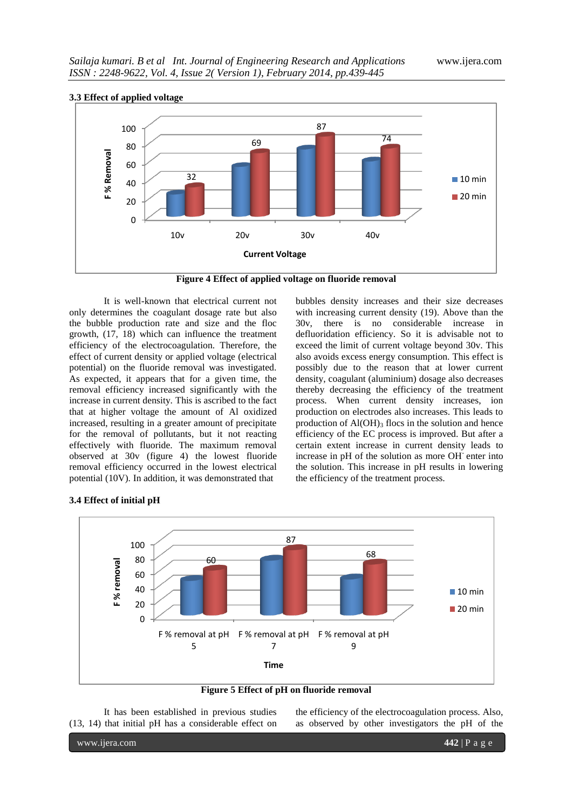

**Figure 4 Effect of applied voltage on fluoride removal**

It is well-known that electrical current not only determines the coagulant dosage rate but also the bubble production rate and size and the floc growth, (17, 18) which can influence the treatment efficiency of the electrocoagulation. Therefore, the effect of current density or applied voltage (electrical potential) on the fluoride removal was investigated. As expected, it appears that for a given time, the removal efficiency increased significantly with the increase in current density. This is ascribed to the fact that at higher voltage the amount of Al oxidized increased, resulting in a greater amount of precipitate for the removal of pollutants, but it not reacting effectively with fluoride. The maximum removal observed at 30v (figure 4) the lowest fluoride removal efficiency occurred in the lowest electrical potential (10V). In addition, it was demonstrated that

bubbles density increases and their size decreases with increasing current density (19). Above than the 30v, there is no considerable increase in defluoridation efficiency. So it is advisable not to exceed the limit of current voltage beyond 30v. This also avoids excess energy consumption. This effect is possibly due to the reason that at lower current density, coagulant (aluminium) dosage also decreases thereby decreasing the efficiency of the treatment process. When current density increases, ion production on electrodes also increases. This leads to production of  $AI(OH)$ <sub>3</sub> flocs in the solution and hence efficiency of the EC process is improved. But after a certain extent increase in current density leads to increase in pH of the solution as more OH<sup>-</sup> enter into the solution. This increase in pH results in lowering the efficiency of the treatment process.



**Figure 5 Effect of pH on fluoride removal**

It has been established in previous studies (13, 14) that initial pH has a considerable effect on the efficiency of the electrocoagulation process. Also, as observed by other investigators the pH of the

| 3.4 Effect of initial pH |  |  |
|--------------------------|--|--|
|--------------------------|--|--|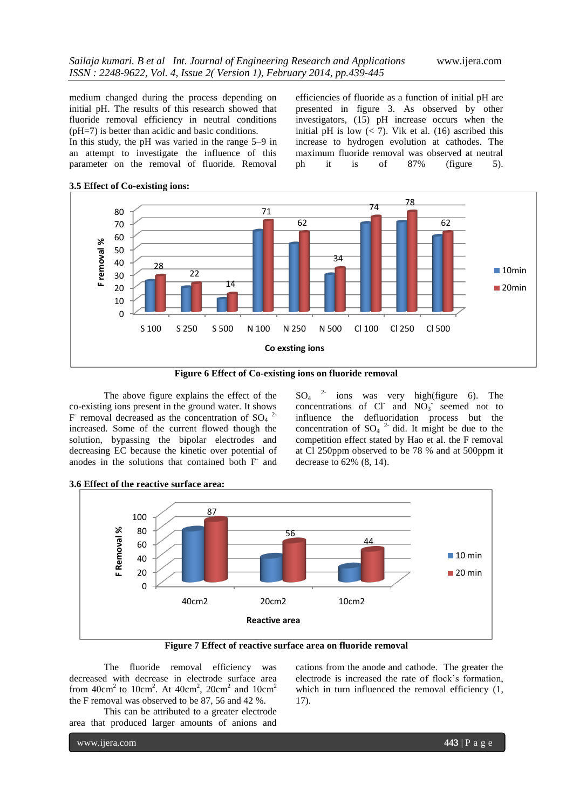medium changed during the process depending on initial pH. The results of this research showed that fluoride removal efficiency in neutral conditions (pH=7) is better than acidic and basic conditions. In this study, the pH was varied in the range 5–9 in an attempt to investigate the influence of this parameter on the removal of fluoride. Removal

efficiencies of fluoride as a function of initial pH are presented in figure 3. As observed by other investigators, (15) pH increase occurs when the initial pH is low  $\left($  < 7). Vik et al. (16) ascribed this increase to hydrogen evolution at cathodes. The maximum fluoride removal was observed at neutral ph it is of 87% (figure 5).







The above figure explains the effect of the co-existing ions present in the ground water. It shows F removal decreased as the concentration of  $SO_4$ <sup>2-</sup> increased. Some of the current flowed though the solution, bypassing the bipolar electrodes and decreasing EC because the kinetic over potential of anodes in the solutions that contained both F<sup>-</sup> and  $SO_4$  <sup>2-</sup> ions was very high(figure 6). The concentrations of Cl and  $NO_3$  seemed not to influence the defluoridation process but the concentration of  $SO_4$ <sup>2</sup> did. It might be due to the competition effect stated by Hao et al. the F removal at Cl 250ppm observed to be 78 % and at 500ppm it decrease to 62% (8, 14).



**Figure 7 Effect of reactive surface area on fluoride removal**

The fluoride removal efficiency was decreased with decrease in electrode surface area from  $40 \text{cm}^2$  to  $10 \text{cm}^2$ . At  $40 \text{cm}^2$ ,  $20 \text{cm}^2$  and  $10 \text{cm}^2$ the F removal was observed to be 87, 56 and 42 %.

This can be attributed to a greater electrode area that produced larger amounts of anions and cations from the anode and cathode. The greater the electrode is increased the rate of flock's formation, which in turn influenced the removal efficiency  $(1, 1)$ 17).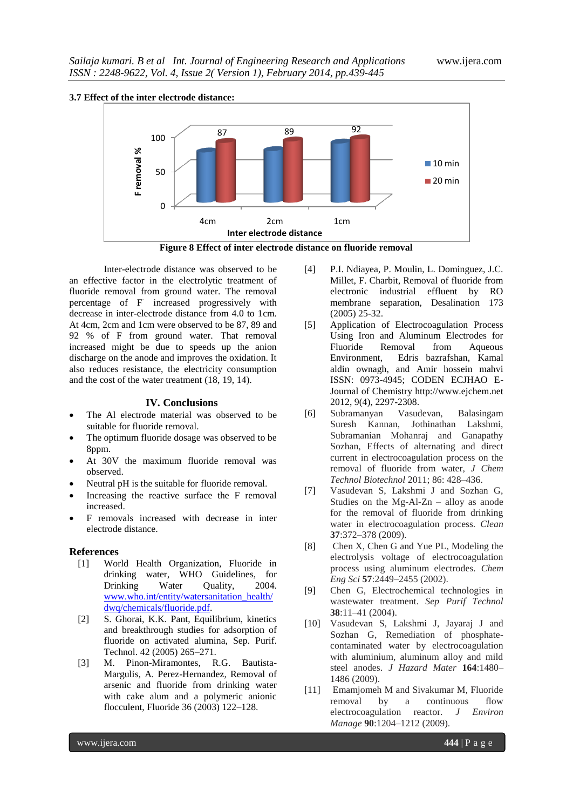



**Figure 8 Effect of inter electrode distance on fluoride removal**

Inter-electrode distance was observed to be an effective factor in the electrolytic treatment of fluoride removal from ground water. The removal percentage of F increased progressively with decrease in inter-electrode distance from 4.0 to 1cm. At 4cm, 2cm and 1cm were observed to be 87, 89 and 92 % of F from ground water. That removal increased might be due to speeds up the anion discharge on the anode and improves the oxidation. It also reduces resistance, the electricity consumption and the cost of the water treatment (18, 19, 14).

#### **IV. Conclusions**

- The Al electrode material was observed to be suitable for fluoride removal.
- The optimum fluoride dosage was observed to be 8ppm.
- At 30V the maximum fluoride removal was observed.
- Neutral pH is the suitable for fluoride removal.
- Increasing the reactive surface the F removal increased.
- F removals increased with decrease in inter electrode distance.

#### **References**

- [1] World Health Organization, Fluoride in drinking water, WHO Guidelines, for Drinking Water Ouality, 2004. [www.who.int/entity/watersanitation\\_health/](http://www.who.int/entity/watersanitation_health/dwq/chemicals/fluoride.pdf) [dwq/chemicals/fluoride.pdf.](http://www.who.int/entity/watersanitation_health/dwq/chemicals/fluoride.pdf)
- [2] S. Ghorai, K.K. Pant, Equilibrium, kinetics and breakthrough studies for adsorption of fluoride on activated alumina, Sep. Purif. Technol. 42 (2005) 265–271.
- [3] M. Pinon-Miramontes, R.G. Bautista-Margulis, A. Perez-Hernandez, Removal of arsenic and fluoride from drinking water with cake alum and a polymeric anionic flocculent, Fluoride 36 (2003) 122–128.
- [4] P.I. Ndiayea, P. Moulin, L. Dominguez, J.C. Millet, F. Charbit, Removal of fluoride from electronic industrial effluent by RO membrane separation, Desalination 173 (2005) 25-32.
- [5] Application of Electrocoagulation Process Using Iron and Aluminum Electrodes for Fluoride Removal from Aqueous<br>Environment, Edris bazrafshan, Kamal Edris bazrafshan, Kamal aldin ownagh, and Amir hossein mahvi ISSN: 0973-4945; CODEN ECJHAO E-Journal of Chemistry http://www.ejchem.net 2012, 9(4), 2297-2308.
- [6] Subramanyan Vasudevan, Balasingam Suresh Kannan, Jothinathan Lakshmi, Subramanian Mohanraj and Ganapathy Sozhan, Effects of alternating and direct current in electrocoagulation process on the removal of fluoride from water, *J Chem Technol Biotechnol* 2011; 86: 428–436.
- [7] Vasudevan S, Lakshmi J and Sozhan G, Studies on the Mg-Al-Zn – alloy as anode for the removal of fluoride from drinking water in electrocoagulation process. *Clean*  **37**:372–378 (2009).
- [8] Chen X, Chen G and Yue PL, Modeling the electrolysis voltage of electrocoagulation process using aluminum electrodes. *Chem Eng Sci* **57**:2449–2455 (2002).
- [9] Chen G, Electrochemical technologies in wastewater treatment. *Sep Purif Technol*  **38**:11–41 (2004).
- [10] Vasudevan S, Lakshmi J, Jayaraj J and Sozhan G, Remediation of phosphatecontaminated water by electrocoagulation with aluminium, aluminum alloy and mild steel anodes. *J Hazard Mater* **164**:1480– 1486 (2009).
- [11] Emamjomeh M and Sivakumar M, Fluoride removal by a continuous flow electrocoagulation reactor. *J Environ Manage* **90**:1204–1212 (2009).